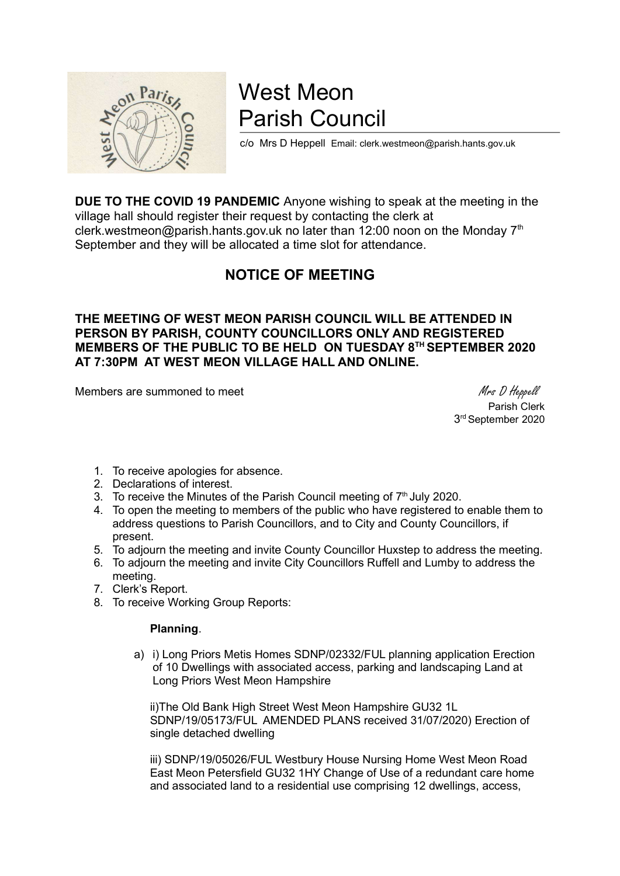

# West Meon Parish Council

c/o Mrs D Heppell Email: clerk.westmeon@parish.hants.gov.uk

DUE TO THE COVID 19 PANDEMIC Anyone wishing to speak at the meeting in the village hall should register their request by contacting the clerk at clerk.westmeon@parish.hants.gov.uk no later than 12:00 noon on the Monday  $7<sup>th</sup>$ September and they will be allocated a time slot for attendance.

## NOTICE OF MEETING

THE MEETING OF WEST MEON PARISH COUNCIL WILL BE ATTENDED IN PERSON BY PARISH, COUNTY COUNCILLORS ONLY AND REGISTERED MEMBERS OF THE PUBLIC TO BE HELD ON TUESDAY 8<sup>TH</sup> SEPTEMBER 2020 AT 7:30PM AT WEST MEON VILLAGE HALL AND ONLINE.

Members are summoned to meet Mess D Heppell

 Parish Clerk 3 rd September 2020

- 1. To receive apologies for absence.
- 2. Declarations of interest.
- $\overline{3}$ . To receive the Minutes of the Parish Council meeting of  $7<sup>th</sup>$  July 2020.
- 4. To open the meeting to members of the public who have registered to enable them to address questions to Parish Councillors, and to City and County Councillors, if present.
- 5. To adjourn the meeting and invite County Councillor Huxstep to address the meeting.
- 6. To adjourn the meeting and invite City Councillors Ruffell and Lumby to address the meeting.
- 7. Clerk's Report.
- 8. To receive Working Group Reports:

### Planning.

a) i) Long Priors Metis Homes SDNP/02332/FUL planning application Erection of 10 Dwellings with associated access, parking and landscaping Land at Long Priors West Meon Hampshire

ii)The Old Bank High Street West Meon Hampshire GU32 1L SDNP/19/05173/FUL AMENDED PLANS received 31/07/2020) Erection of single detached dwelling

iii) SDNP/19/05026/FUL Westbury House Nursing Home West Meon Road East Meon Petersfield GU32 1HY Change of Use of a redundant care home and associated land to a residential use comprising 12 dwellings, access,